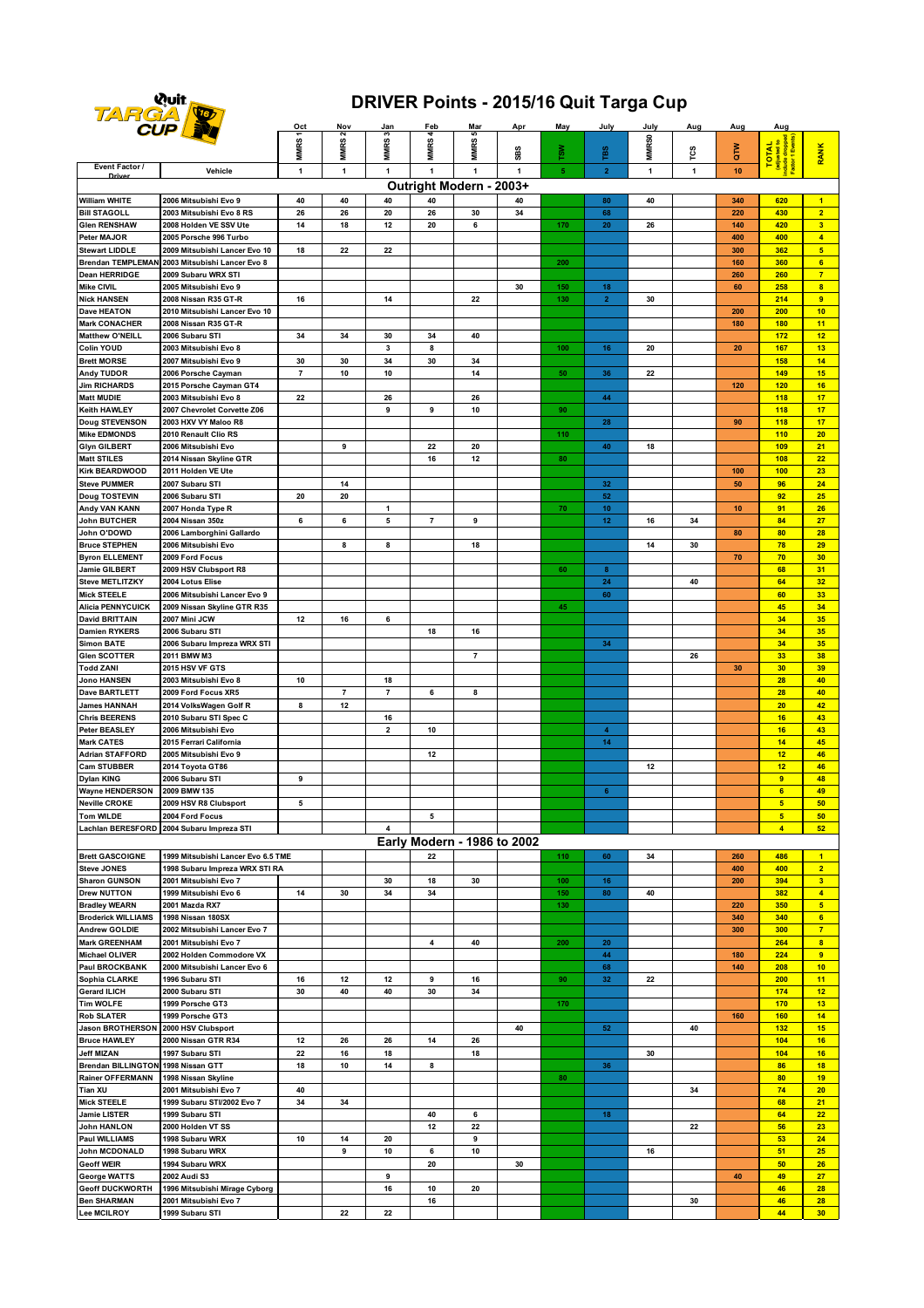

## **DRIVER Points - 2015/16 Quit Targa Cup**

| <b>CUPLE</b>                                                                                                                                  |                                                | Oct            | Nov               | Jan                     | Feb                         | <u>Mar</u>     | <u>Apr</u>   | May            | July                 | July              | Aug | Aug | Aug                                                         |                         |
|-----------------------------------------------------------------------------------------------------------------------------------------------|------------------------------------------------|----------------|-------------------|-------------------------|-----------------------------|----------------|--------------|----------------|----------------------|-------------------|-----|-----|-------------------------------------------------------------|-------------------------|
|                                                                                                                                               |                                                |                | MMRS <sub>2</sub> | MMRS3                   |                             | s              |              |                |                      |                   |     |     |                                                             |                         |
|                                                                                                                                               |                                                | MMRS1          |                   |                         | <b>MMRS4</b>                | MMRS!          | S<br>8       | ៵៓៓            | ĩВS                  | MMR <sub>S0</sub> | TCS | èΣ  |                                                             | RANK                    |
| Event Factor /                                                                                                                                |                                                |                |                   |                         |                             |                | $\mathbf{1}$ | $\overline{5}$ |                      |                   |     |     | TOTAL<br>(adjusted to<br>nclude dropped<br>"actor 1 Events) |                         |
| $\mathbf{1}$<br>$\mathbf{1}$<br>$\overline{2}$<br>$\mathbf{1}$<br>$\mathbf{1}$<br>10<br>Vehicle<br>1<br>$\mathbf{1}$<br>$\mathbf{1}$<br>Drive |                                                |                |                   |                         |                             |                |              |                |                      |                   |     |     |                                                             |                         |
| Outright Modern - 2003+                                                                                                                       |                                                |                |                   |                         |                             |                |              |                |                      |                   |     |     |                                                             |                         |
| <b>William WHITE</b>                                                                                                                          | 2006 Mitsubishi Evo 9                          | 40             | 40                | 40                      | 40                          |                | 40           |                | 80                   | 40                |     | 340 | 620                                                         | $\overline{1}$          |
| <b>Bill STAGOLL</b>                                                                                                                           | 2003 Mitsubishi Evo 8 RS                       | 26             | 26                | 20                      | 26                          | 30             | 34           |                | 68                   |                   |     | 220 | 430                                                         | 2 <sup>1</sup>          |
| <b>Glen RENSHAW</b>                                                                                                                           | 2008 Holden VE SSV Ute                         | 14             | 18                | 12                      | 20                          | 6              |              | 170            | ${\bf 20}$           | 26                |     | 140 | 420                                                         | $\overline{\mathbf{3}}$ |
| Peter MAJOR                                                                                                                                   | 2005 Porsche 996 Turbo                         |                |                   |                         |                             |                |              |                |                      |                   |     | 400 | 400                                                         | $\overline{4}$          |
| <b>Stewart LIDDLE</b>                                                                                                                         | 2009 Mitsubishi Lancer Evo 10                  | 18             | 22                | 22                      |                             |                |              |                |                      |                   |     | 300 | 362                                                         | 5 <sub>5</sub>          |
|                                                                                                                                               | Brendan TEMPLEMAN 2003 Mitsubishi Lancer Evo 8 |                |                   |                         |                             |                |              | 200            |                      |                   |     | 160 | 360                                                         | 6                       |
| <b>Dean HERRIDGE</b>                                                                                                                          | 2009 Subaru WRX STI                            |                |                   |                         |                             |                |              |                |                      |                   |     | 260 | 260                                                         | $\overline{7}$          |
| <b>Mike CIVIL</b>                                                                                                                             | 2005 Mitsubishi Evo 9                          |                |                   |                         |                             |                | 30           | 150            | 18                   |                   |     | 60  | 258                                                         | $\overline{\mathbf{8}}$ |
| <b>Nick HANSEN</b>                                                                                                                            | 2008 Nissan R35 GT-R                           | 16             |                   | 14                      |                             | 22             |              | 130            | $\overline{2}$       | 30                |     |     | 214                                                         | 9                       |
| <b>Dave HEATON</b>                                                                                                                            | 2010 Mitsubishi Lancer Evo 10                  |                |                   |                         |                             |                |              |                |                      |                   |     | 200 | 200                                                         | 10                      |
| <b>Mark CONACHER</b>                                                                                                                          | 2008 Nissan R35 GT-R                           |                |                   |                         |                             |                |              |                |                      |                   |     | 180 | 180                                                         | 11                      |
| <b>Matthew O'NEILL</b>                                                                                                                        | 2006 Subaru STI                                | 34             | 34                | 30                      | 34                          | 40             |              |                |                      |                   |     |     | 172                                                         | 12                      |
| <b>Colin YOUD</b>                                                                                                                             | 2003 Mitsubishi Evo 8                          |                |                   | 3                       | 8                           |                |              | 100            | 16                   | 20                |     | 20  | 167                                                         | 13                      |
| <b>Brett MORSE</b>                                                                                                                            |                                                |                |                   |                         |                             |                |              |                |                      |                   |     |     | 158                                                         | 14                      |
|                                                                                                                                               | 2007 Mitsubishi Evo 9                          | 30             | 30                | 34                      | 30                          | 34             |              |                |                      |                   |     |     |                                                             |                         |
| <b>Andy TUDOR</b>                                                                                                                             | 2006 Porsche Cayman                            | $\overline{7}$ | 10                | 10                      |                             | 14             |              | 50             | 36                   | 22                |     |     | 149                                                         | 15                      |
| <b>Jim RICHARDS</b>                                                                                                                           | 2015 Porsche Cayman GT4                        |                |                   |                         |                             |                |              |                |                      |                   |     | 120 | 120                                                         | 16                      |
| <b>Matt MUDIE</b>                                                                                                                             | 2003 Mitsubishi Evo 8                          | 22             |                   | 26                      |                             | 26             |              |                | 44                   |                   |     |     | 118                                                         | 17                      |
| <b>Keith HAWLEY</b>                                                                                                                           | 2007 Chevrolet Corvette Z06                    |                |                   | 9                       | 9                           | 10             |              | 90             |                      |                   |     |     | 118                                                         | 17                      |
| Doug STEVENSON                                                                                                                                | 2003 HXV VY Maloo R8                           |                |                   |                         |                             |                |              |                | 28                   |                   |     | 90  | 118                                                         | 17                      |
| <b>Mike EDMONDS</b>                                                                                                                           | 2010 Renault Clio RS                           |                |                   |                         |                             |                |              | 110            |                      |                   |     |     | 110                                                         | 20                      |
| <b>Glyn GILBERT</b>                                                                                                                           | 2006 Mitsubishi Evo                            |                | 9                 |                         | 22                          | 20             |              |                | 40                   | 18                |     |     | 109                                                         | 21                      |
| <b>Matt STILES</b>                                                                                                                            | 2014 Nissan Skyline GTR                        |                |                   |                         | 16                          | 12             |              | 80             |                      |                   |     |     | 108                                                         | 22                      |
| <b>Kirk BEARDWOOD</b>                                                                                                                         | 2011 Holden VE Ute                             |                |                   |                         |                             |                |              |                |                      |                   |     | 100 | 100                                                         | 23                      |
| <b>Steve PUMMER</b>                                                                                                                           | 2007 Subaru STI                                |                | 14                |                         |                             |                |              |                | 32                   |                   |     | 50  | 96                                                          | 24                      |
| <b>Doug TOSTEVIN</b>                                                                                                                          | 2006 Subaru STI                                | 20             | 20                |                         |                             |                |              |                | 52                   |                   |     |     | 92                                                          | 25                      |
| Andy VAN KANN                                                                                                                                 | 2007 Honda Type R                              |                |                   | 1                       |                             |                |              | 70             | 10                   |                   |     | 10  | 91                                                          | 26                      |
| <b>John BUTCHER</b>                                                                                                                           | 2004 Nissan 350z                               | 6              | 6                 | 5                       | $\overline{7}$              | 9              |              |                | 12                   | 16                | 34  |     | 84                                                          | 27                      |
| John O'DOWD                                                                                                                                   | 2006 Lamborghini Gallardo                      |                |                   |                         |                             |                |              |                |                      |                   |     | 80  | 80                                                          | 28                      |
| <b>Bruce STEPHEN</b>                                                                                                                          | 2006 Mitsubishi Evo                            |                | 8                 | 8                       |                             | 18             |              |                |                      | 14                | 30  |     | 78                                                          | 29                      |
| <b>Byron ELLEMENT</b>                                                                                                                         | 2009 Ford Focus                                |                |                   |                         |                             |                |              |                |                      |                   |     | 70  | 70                                                          | 30                      |
| Jamie GILBERT                                                                                                                                 | 2009 HSV Clubsport R8                          |                |                   |                         |                             |                |              | 60             | 8                    |                   |     |     | 68                                                          | 31                      |
| <b>Steve METLITZKY</b>                                                                                                                        | 2004 Lotus Elise                               |                |                   |                         |                             |                |              |                | ${\bf 24}$           |                   | 40  |     | 64                                                          | 32                      |
| <b>Mick STEELE</b>                                                                                                                            | 2006 Mitsubishi Lancer Evo 9                   |                |                   |                         |                             |                |              |                | 60                   |                   |     |     | 60                                                          | 33                      |
| <b>Alicia PENNYCUICK</b>                                                                                                                      | 2009 Nissan Skyline GTR R35                    |                |                   |                         |                             |                |              | 45             |                      |                   |     |     | 45                                                          | 34                      |
| <b>David BRITTAIN</b>                                                                                                                         | 2007 Mini JCW                                  | 12             | 16                | 6                       |                             |                |              |                |                      |                   |     |     | 34                                                          | 35                      |
| <b>Damien RYKERS</b>                                                                                                                          | 2006 Subaru STI                                |                |                   |                         | 18                          | 16             |              |                |                      |                   |     |     | 34                                                          | 35                      |
| <b>Simon BATE</b>                                                                                                                             | 2006 Subaru Impreza WRX STI                    |                |                   |                         |                             |                |              |                | 34                   |                   |     |     | 34                                                          | 35                      |
| <b>Glen SCOTTER</b>                                                                                                                           | 2011 BMW M3                                    |                |                   |                         |                             | $\overline{7}$ |              |                |                      |                   | 26  |     | 33                                                          | 38                      |
|                                                                                                                                               |                                                |                |                   |                         |                             |                |              |                |                      |                   |     |     |                                                             |                         |
| <b>Todd ZANI</b>                                                                                                                              | 2015 HSV VF GTS                                |                |                   |                         |                             |                |              |                |                      |                   |     | 30  | 30                                                          | 39                      |
| <b>Jono HANSEN</b>                                                                                                                            | 2003 Mitsubishi Evo 8                          | 10             |                   | 18                      |                             |                |              |                |                      |                   |     |     | 28                                                          | 40                      |
| <b>Dave BARTLETT</b>                                                                                                                          | 2009 Ford Focus XR5                            |                | $\overline{7}$    | $\overline{7}$          | 6                           | 8              |              |                |                      |                   |     |     | 28                                                          | 40                      |
| <b>James HANNAH</b>                                                                                                                           | 2014 VolksWagen Golf R                         | 8              | 12                |                         |                             |                |              |                |                      |                   |     |     | 20                                                          | 42                      |
| <b>Chris BEERENS</b>                                                                                                                          | 2010 Subaru STI Spec C                         |                |                   | 16                      |                             |                |              |                |                      |                   |     |     | 16                                                          | 43                      |
| <b>Peter BEASLEY</b>                                                                                                                          | 2006 Mitsubishi Evo                            |                |                   | $\overline{\mathbf{2}}$ | 10                          |                |              |                | $\blacktriangleleft$ |                   |     |     | 16                                                          | 43                      |
| <b>Mark CATES</b>                                                                                                                             | 2015 Ferrari California                        |                |                   |                         |                             |                |              |                | 14                   |                   |     |     | 14                                                          | 45                      |
| <b>Adrian STAFFORD</b>                                                                                                                        | 2005 Mitsubishi Evo 9                          |                |                   |                         | 12                          |                |              |                |                      |                   |     |     | 12                                                          | 46                      |
| <b>Cam STUBBER</b>                                                                                                                            | 2014 Toyota GT86                               |                |                   |                         |                             |                |              |                |                      | 12                |     |     | 12                                                          | 46                      |
| <b>Dylan KING</b>                                                                                                                             | 2006 Subaru STI                                | 9              |                   |                         |                             |                |              |                |                      |                   |     |     | 9                                                           | 48                      |
| <b>Wayne HENDERSON</b>                                                                                                                        | 2009 BMW 135                                   |                |                   |                         |                             |                |              |                | 6 <sub>1</sub>       |                   |     |     | 6                                                           | 49                      |
| <b>Neville CROKE</b>                                                                                                                          | 2009 HSV R8 Clubsport                          | 5              |                   |                         |                             |                |              |                |                      |                   |     |     | $5\phantom{a}$                                              | 50                      |
| <b>Tom WILDE</b>                                                                                                                              | 2004 Ford Focus                                |                |                   |                         | 5                           |                |              |                |                      |                   |     |     | 5                                                           | 50                      |
|                                                                                                                                               | Lachlan BERESFORD 2004 Subaru Impreza STI      |                |                   | $\overline{4}$          |                             |                |              |                |                      |                   |     |     | 4 <sup>1</sup>                                              | 52                      |
|                                                                                                                                               |                                                |                |                   |                         | Early Modern - 1986 to 2002 |                |              |                |                      |                   |     |     |                                                             |                         |
| <b>Brett GASCOIGNE</b>                                                                                                                        | 1999 Mitsubishi Lancer Evo 6.5 TME             |                |                   |                         | 22                          |                |              | 110            | 60                   | 34                |     | 260 | 486                                                         | $\blacksquare$          |
| <b>Steve JONES</b>                                                                                                                            | 1998 Subaru Impreza WRX STI RA                 |                |                   |                         |                             |                |              |                |                      |                   |     | 400 | 400                                                         | $\overline{2}$          |
| <b>Sharon GUNSON</b>                                                                                                                          | 2001 Mitsubishi Evo 7                          |                |                   | 30                      | 18                          | 30             |              | 100            | 16                   |                   |     | 200 | 394                                                         | 3 <sup>2</sup>          |
| <b>Drew NUTTON</b>                                                                                                                            | 1999 Mitsubishi Evo 6                          | 14             | 30                | 34                      | 34                          |                |              | 150            | 80                   | 40                |     |     | 382                                                         | $\overline{4}$          |
| <b>Bradley WEARN</b>                                                                                                                          | 2001 Mazda RX7                                 |                |                   |                         |                             |                |              | 130            |                      |                   |     | 220 | 350                                                         | 5 <sub>5</sub>          |
|                                                                                                                                               |                                                |                |                   |                         |                             |                |              |                |                      |                   |     |     |                                                             |                         |
| <b>Broderick WILLIAMS</b>                                                                                                                     | 1998 Nissan 180SX                              |                |                   |                         |                             |                |              |                |                      |                   |     | 340 | 340                                                         | $6\phantom{1}$          |
| <b>Andrew GOLDIE</b>                                                                                                                          | 2002 Mitsubishi Lancer Evo 7                   |                |                   |                         |                             |                |              |                |                      |                   |     | 300 | 300                                                         | 7 <sup>2</sup>          |
| <b>Mark GREENHAM</b>                                                                                                                          | 2001 Mitsubishi Evo 7                          |                |                   |                         | $\overline{\mathbf{4}}$     | 40             |              | 200            | 20                   |                   |     |     | 264                                                         | 8                       |
| <b>Michael OLIVER</b>                                                                                                                         | 2002 Holden Commodore VX                       |                |                   |                         |                             |                |              |                | 44                   |                   |     | 180 | 224                                                         | 9                       |
| <b>Paul BROCKBANK</b>                                                                                                                         | 2000 Mitsubishi Lancer Evo 6                   |                |                   |                         |                             |                |              |                | 68                   |                   |     | 140 | 208                                                         | 10                      |
| Sophia CLARKE                                                                                                                                 | 1996 Subaru STI                                | 16             | 12                | 12                      | 9                           | 16             |              | 90             | 32                   | 22                |     |     | 200                                                         | 11                      |
| <b>Gerard ILICH</b>                                                                                                                           | 2000 Subaru STI                                | 30             | 40                | 40                      | 30                          | 34             |              |                |                      |                   |     |     | 174                                                         | 12                      |
| <b>Tim WOLFE</b>                                                                                                                              | 1999 Porsche GT3                               |                |                   |                         |                             |                |              | 170            |                      |                   |     |     | 170                                                         | 13                      |
| <b>Rob SLATER</b>                                                                                                                             | 1999 Porsche GT3                               |                |                   |                         |                             |                |              |                |                      |                   |     | 160 | 160                                                         | 14                      |
| <b>Jason BROTHERSON</b>                                                                                                                       | 2000 HSV Clubsport                             |                |                   |                         |                             |                | 40           |                | ${\bf 52}$           |                   | 40  |     | 132                                                         | 15                      |
| <b>Bruce HAWLEY</b>                                                                                                                           | 2000 Nissan GTR R34                            | 12             | 26                | 26                      | 14                          | 26             |              |                |                      |                   |     |     | 104                                                         | 16                      |
| <b>Jeff MIZAN</b>                                                                                                                             | 1997 Subaru STI                                | 22             | 16                | 18                      |                             | 18             |              |                |                      | 30                |     |     | 104                                                         | 16                      |
| Brendan BILLINGTON 1998 Nissan GTT                                                                                                            |                                                | 18             | 10                | 14                      | 8                           |                |              |                | 36                   |                   |     |     | 86                                                          | 18                      |
| <b>Rainer OFFERMANN</b>                                                                                                                       | 1998 Nissan Skyline                            |                |                   |                         |                             |                |              | 80             |                      |                   |     |     | 80                                                          | 19                      |
| <b>Tian XU</b>                                                                                                                                | 2001 Mitsubishi Evo 7                          | 40             |                   |                         |                             |                |              |                |                      |                   | 34  |     | 74                                                          | 20                      |
| <b>Mick STEELE</b>                                                                                                                            | 1999 Subaru STI/2002 Evo 7                     | 34             | 34                |                         |                             |                |              |                |                      |                   |     |     | 68                                                          | 21                      |
| Jamie LISTER                                                                                                                                  | 1999 Subaru STI                                |                |                   |                         | 40                          | 6              |              |                | 18                   |                   |     |     | 64                                                          | 22                      |
| <b>John HANLON</b>                                                                                                                            | 2000 Holden VT SS                              |                |                   |                         | 12                          | 22             |              |                |                      |                   | 22  |     | 56                                                          | 23                      |
| <b>Paul WILLIAMS</b>                                                                                                                          | 1998 Subaru WRX                                | 10             | 14                | 20                      |                             | 9              |              |                |                      |                   |     |     | 53                                                          | 24                      |
| John MCDONALD                                                                                                                                 | 1998 Subaru WRX                                |                | 9                 | 10                      | 6                           | 10             |              |                |                      | 16                |     |     | 51                                                          | 25                      |
| <b>Geoff WEIR</b>                                                                                                                             | 1994 Subaru WRX                                |                |                   |                         | 20                          |                | 30           |                |                      |                   |     |     | 50                                                          | 26                      |
| <b>George WATTS</b>                                                                                                                           | 2002 Audi S3                                   |                |                   | 9                       |                             |                |              |                |                      |                   |     | 40  | 49                                                          | 27                      |
| <b>Geoff DUCKWORTH</b>                                                                                                                        |                                                |                |                   | 16                      |                             |                |              |                |                      |                   |     |     | 46                                                          | 28                      |
| <b>Ben SHARMAN</b>                                                                                                                            | 1996 Mitsubishi Mirage Cyborg                  |                |                   |                         | 10                          | 20             |              |                |                      |                   |     |     | 46                                                          | 28                      |
| <b>Lee MCILROY</b>                                                                                                                            | 2001 Mitsubishi Evo 7                          |                |                   |                         | 16                          |                |              |                |                      |                   | 30  |     |                                                             |                         |
|                                                                                                                                               | 1999 Subaru STI                                |                | 22                | 22                      |                             |                |              |                |                      |                   |     |     | 44                                                          | 30 <sub>2</sub>         |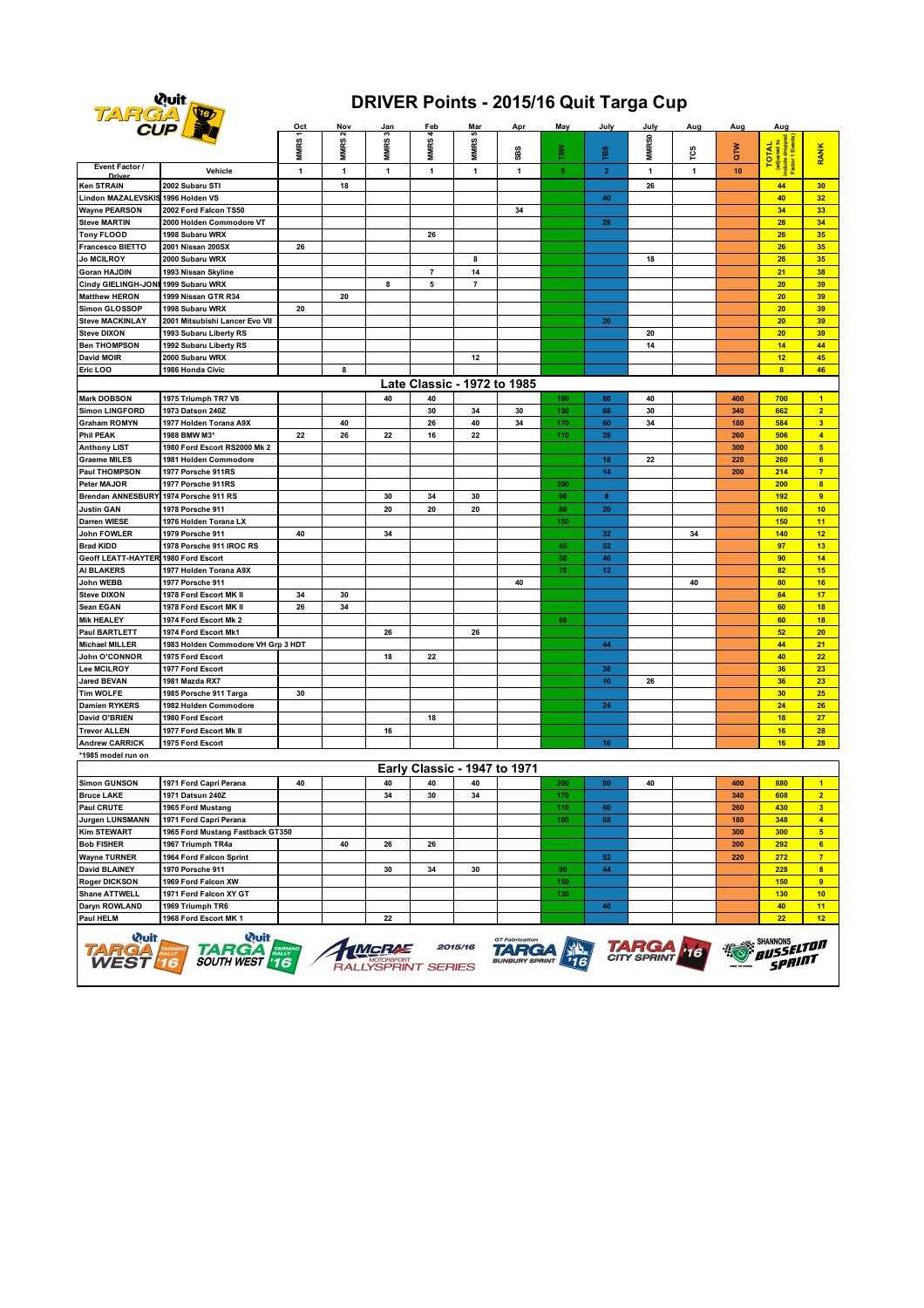

## **DRIVER Points - 2015/16 Quit Targa Cup**

|                                     | <b>CUP By</b>                      | Oct          | Nov               | <u>Jan</u>   | Feb                          | <u>Mar</u>               | Apr          | May | July           | July              | Aug          | Aug              | Aug                                                         |                         |
|-------------------------------------|------------------------------------|--------------|-------------------|--------------|------------------------------|--------------------------|--------------|-----|----------------|-------------------|--------------|------------------|-------------------------------------------------------------|-------------------------|
|                                     |                                    | MMRS1        | MMRS <sub>2</sub> | MMRS3        | MMRS4                        | MMRS5                    | SBS          | š   | rBS            | MMR <sub>S0</sub> | гcs          | ĞΜ               | TOTAL<br>(adjusted to<br>nclude dropped<br>Factor 1 Events) | <b>RANK</b>             |
| Event Factor /                      | Vehicle                            | $\mathbf{1}$ | $\mathbf{1}$      | $\mathbf{1}$ | 1                            | $\mathbf{1}$             | $\mathbf{1}$ | 5   | $\overline{2}$ | $\mathbf{1}$      | $\mathbf{1}$ | 10 <sup>10</sup> |                                                             |                         |
| Ken STRAIN                          | 2002 Subaru STI                    |              | 18                |              |                              |                          |              |     |                | 26                |              |                  | 44                                                          | 30                      |
| Lindon MAZALEVSKIS 1996 Holden VS   |                                    |              |                   |              |                              |                          |              |     | 40             |                   |              |                  | 40                                                          | 32                      |
| <b>Wayne PEARSON</b>                | 2002 Ford Falcon TS50              |              |                   |              |                              |                          | 34           |     |                |                   |              |                  | 34                                                          | 33                      |
| <b>Steve MARTIN</b>                 | 2000 Holden Commodore VT           |              |                   |              |                              |                          |              |     | 28             |                   |              |                  | 28                                                          | 34                      |
| <b>Tony FLOOD</b>                   | 1998 Subaru WRX                    |              |                   |              | 26                           |                          |              |     |                |                   |              |                  | 26                                                          | 35                      |
| <b>Francesco BIETTO</b>             | 2001 Nissan 200SX                  | 26           |                   |              |                              |                          |              |     |                |                   |              |                  | 26                                                          | 35                      |
| <b>Jo MCILROY</b>                   | 2000 Subaru WRX                    |              |                   |              |                              | 8                        |              |     |                | 18                |              |                  | 26                                                          | 35                      |
| Goran HAJDIN                        | 1993 Nissan Skyline                |              |                   |              | $\overline{\mathbf{r}}$      | 14                       |              |     |                |                   |              |                  | 21                                                          | 38                      |
| Cindy GIELINGH-JONI                 | 1999 Subaru WRX                    |              |                   | 8            | 5                            | $\overline{\phantom{a}}$ |              |     |                |                   |              |                  | 20                                                          | 39                      |
| <b>Matthew HERON</b>                | 1999 Nissan GTR R34                |              | 20                |              |                              |                          |              |     |                |                   |              |                  | 20                                                          | 39                      |
| Simon GLOSSOP                       | 1998 Subaru WRX                    | 20           |                   |              |                              |                          |              |     |                |                   |              |                  | 20                                                          | 39                      |
| <b>Steve MACKINLAY</b>              | 2001 Mitsubishi Lancer Evo VII     |              |                   |              |                              |                          |              |     | 20             |                   |              |                  | 20                                                          | 39                      |
| <b>Steve DIXON</b>                  | 1993 Subaru Liberty RS             |              |                   |              |                              |                          |              |     |                | 20                |              |                  | 20                                                          | 39                      |
| <b>Ben THOMPSON</b>                 | 1992 Subaru Liberty RS             |              |                   |              |                              |                          |              |     |                | 14                |              |                  | 14                                                          | 44                      |
| <b>David MOIR</b>                   | 2000 Subaru WRX                    |              |                   |              |                              | 12                       |              |     |                |                   |              |                  | 12                                                          | 45                      |
| Eric LOO                            | 1986 Honda Civic                   |              | 8                 |              |                              |                          |              |     |                |                   |              |                  | $\overline{\mathbf{8}}$                                     | 46                      |
|                                     |                                    |              |                   |              | Late Classic - 1972 to 1985  |                          |              |     |                |                   |              |                  |                                                             |                         |
| <b>Mark DOBSON</b>                  | 1975 Triumph TR7 V8                |              |                   | 40           | 40                           |                          |              | 100 | 80             | 40                |              | 400              | 700                                                         | $\blacksquare$          |
| <b>Simon LINGFORD</b>               | 1973 Datson 240Z                   |              |                   |              | 30                           | 34                       | 30           | 130 | 68             | 30                |              | 340              | 662                                                         | $\overline{2}$          |
| <b>Graham ROMYN</b>                 | 1977 Holden Torana A9X             |              | 40                |              | 26                           | 40                       | 34           | 170 | 60             | 34                |              | 180              | 584                                                         | 3 <sup>2</sup>          |
| <b>Phil PEAK</b>                    | 1988 BMW M3*                       | 22           | 26                | 22           | 16                           | 22                       |              | 110 | 28             |                   |              | 260              | 506                                                         | $\overline{4}$          |
| <b>Anthony LIST</b>                 | 1980 Ford Escort RS2000 Mk 2       |              |                   |              |                              |                          |              |     |                |                   |              | 300              | 300                                                         | $\overline{\mathbf{5}}$ |
| <b>Graeme MILES</b>                 | 1981 Holden Commodore              |              |                   |              |                              |                          |              |     | 18             |                   |              | 220              | 260                                                         | $6\phantom{a}$          |
| <b>Paul THOMPSON</b>                | 1977 Porsche 911RS                 |              |                   |              |                              |                          |              |     | 14             | 22                |              | 200              | 214                                                         | $\overline{7}$          |
| Peter MAJOR                         | 1977 Porsche 911RS                 |              |                   |              |                              |                          |              | 200 |                |                   |              |                  | 200                                                         | $\overline{\mathbf{8}}$ |
| <b>Brendan ANNESBURY</b>            | 1974 Porsche 911 RS                |              |                   | 30           | 34                           | 30                       |              | 90  | $\bf{8}$       |                   |              |                  | 192                                                         | 9                       |
| <b>Justin GAN</b>                   | 1978 Porsche 911                   |              |                   | 20           | ${\bf 20}$                   | 20                       |              | 80  | 20             |                   |              |                  | 160                                                         | 10                      |
| Darren WIESE                        | 1976 Holden Torana LX              |              |                   |              |                              |                          |              | 150 |                |                   |              |                  | 150                                                         | 11                      |
| John FOWLER                         | 1979 Porsche 911                   | 40           |                   | 34           |                              |                          |              |     | 32             |                   | 34           |                  | 140                                                         | 12 <sub>2</sub>         |
| <b>Brad KIDD</b>                    | 1978 Porsche 911 IROC RS           |              |                   |              |                              |                          |              | 45  | 52             |                   |              |                  | 97                                                          | 13                      |
| Geoff LEATT-HAYTER 1980 Ford Escort |                                    |              |                   |              |                              |                          |              | 50  | 40             |                   |              |                  | 90                                                          | 14                      |
| AI BLAKERS                          | 1977 Holden Torana A9X             |              |                   |              |                              |                          |              | 70  | 12             |                   |              |                  | 82                                                          | 15                      |
| John WEBB                           | 1977 Porsche 911                   |              |                   |              |                              |                          | 40           |     |                |                   | 40           |                  | 80                                                          | 16                      |
| <b>Steve DIXON</b>                  | 1978 Ford Escort MK II             | 34           | 30                |              |                              |                          |              |     |                |                   |              |                  | 64                                                          | 17                      |
| Sean EGAN                           | 1978 Ford Escort MK II             | 26           | 34                |              |                              |                          |              |     |                |                   |              |                  | 60                                                          | 18                      |
| <b>Mik HEALEY</b>                   | 1974 Ford Escort Mk 2              |              |                   |              |                              |                          |              | 60  |                |                   |              |                  | 60                                                          | 18                      |
| <b>Paul BARTLETT</b>                | 1974 Ford Escort Mk1               |              |                   | 26           |                              | 26                       |              |     |                |                   |              |                  | 52                                                          | 20 <sub>2</sub>         |
| <b>Michael MILLER</b>               | 1983 Holden Commodore VH Grp 3 HDT |              |                   |              |                              |                          |              |     | 44             |                   |              |                  | 44                                                          | 21                      |
| John O'CONNOR                       | 1975 Ford Escort                   |              |                   | 18           | 22                           |                          |              |     |                |                   |              |                  | 40                                                          | 22                      |
| Lee MCILROY                         | 1977 Ford Escort                   |              |                   |              |                              |                          |              |     | 36             |                   |              |                  | 36                                                          | 23                      |
| <b>Jared BEVAN</b>                  | 1981 Mazda RX7                     |              |                   |              |                              |                          |              |     | 10             | 26                |              |                  | 36                                                          | 23                      |
| <b>Tim WOLFE</b>                    | 1985 Porsche 911 Targa             | 30           |                   |              |                              |                          |              |     |                |                   |              |                  | 30                                                          | 25                      |
| <b>Damien RYKERS</b>                | 1982 Holden Commodore              |              |                   |              |                              |                          |              |     | 24             |                   |              |                  | 24                                                          | 26                      |
| David O'BRIEN                       | 1980 Ford Escort                   |              |                   |              | 18                           |                          |              |     |                |                   |              |                  | 18                                                          | 27                      |
| <b>Trevor ALLEN</b>                 | 1977 Ford Escort Mk II             |              |                   | 16           |                              |                          |              |     |                |                   |              |                  | 16                                                          | 28                      |
| <b>Andrew CARRICK</b>               | 1975 Ford Escort                   |              |                   |              |                              |                          |              |     | 16             |                   |              |                  | 16                                                          | 28                      |
| *1985 model run on                  |                                    |              |                   |              |                              |                          |              |     |                |                   |              |                  |                                                             |                         |
|                                     |                                    |              |                   |              | Early Classic - 1947 to 1971 |                          |              |     |                |                   |              |                  |                                                             |                         |
| <b>Simon GUNSON</b>                 | 1971 Ford Capri Perana             | 40           |                   | 40           | 40                           | 40                       |              | 200 | 80             | 40                |              | 400              | 880                                                         | $\blacksquare$          |
| <b>Bruce LAKE</b>                   | 1971 Datsun 240Z                   |              |                   | 34           | 30                           | 34                       |              | 170 |                |                   |              | 340              | 608                                                         | $\overline{2}$          |
| Paul CRUTE                          | 1965 Ford Mustang                  |              |                   |              |                              |                          |              | 110 | 60             |                   |              | 260              | 430                                                         | 3 <sup>2</sup>          |
| <b>Jurgen LUNSMANN</b>              | 1971 Ford Capri Perana             |              |                   |              |                              |                          |              | 100 | 68             |                   |              | 180              | 348                                                         | $\blacktriangleleft$    |
| <b>Kim STEWART</b>                  | 1965 Ford Mustang Fastback GT350   |              |                   |              |                              |                          |              |     |                |                   |              | 300              | 300                                                         | $\overline{5}$          |
| <b>Bob FISHER</b>                   | 1967 Triumph TR4a                  |              | 40                | 26           | 26                           |                          |              |     |                |                   |              | 200              | 292                                                         | $6\phantom{a}$          |
| <b>Wayne TURNER</b>                 | 1964 Ford Falcon Sprint            |              |                   |              |                              |                          |              |     | 52             |                   |              | 220              | 272                                                         | $\overline{7}$          |
| <b>David BLAINEY</b>                | 1970 Porsche 911                   |              |                   | 30           | 34                           | 30                       |              | 90  | 44             |                   |              |                  | 228                                                         | $\overline{\mathbf{8}}$ |
| <b>Roger DICKSON</b>                | 1969 Ford Falcon XW                |              |                   |              |                              |                          |              | 150 |                |                   |              |                  | 150                                                         | 9                       |
| <b>Shane ATTWELL</b>                | 1971 Ford Falcon XY GT             |              |                   |              |                              |                          |              | 130 |                |                   |              |                  | 130                                                         | 10 <sub>1</sub>         |
| Daryn ROWLAND                       | 1969 Triumph TR6                   |              |                   |              |                              |                          |              |     | 40             |                   |              |                  | 40                                                          | 11                      |
| Paul HELM                           | 1968 Ford Escort MK 1              |              |                   | 22           |                              |                          |              |     |                |                   |              |                  | $\overline{22}$                                             | 12                      |
|                                     |                                    |              |                   |              |                              |                          |              |     |                |                   |              |                  |                                                             |                         |









**SHANNONS**<br>BUSSELTON<br>SPRINT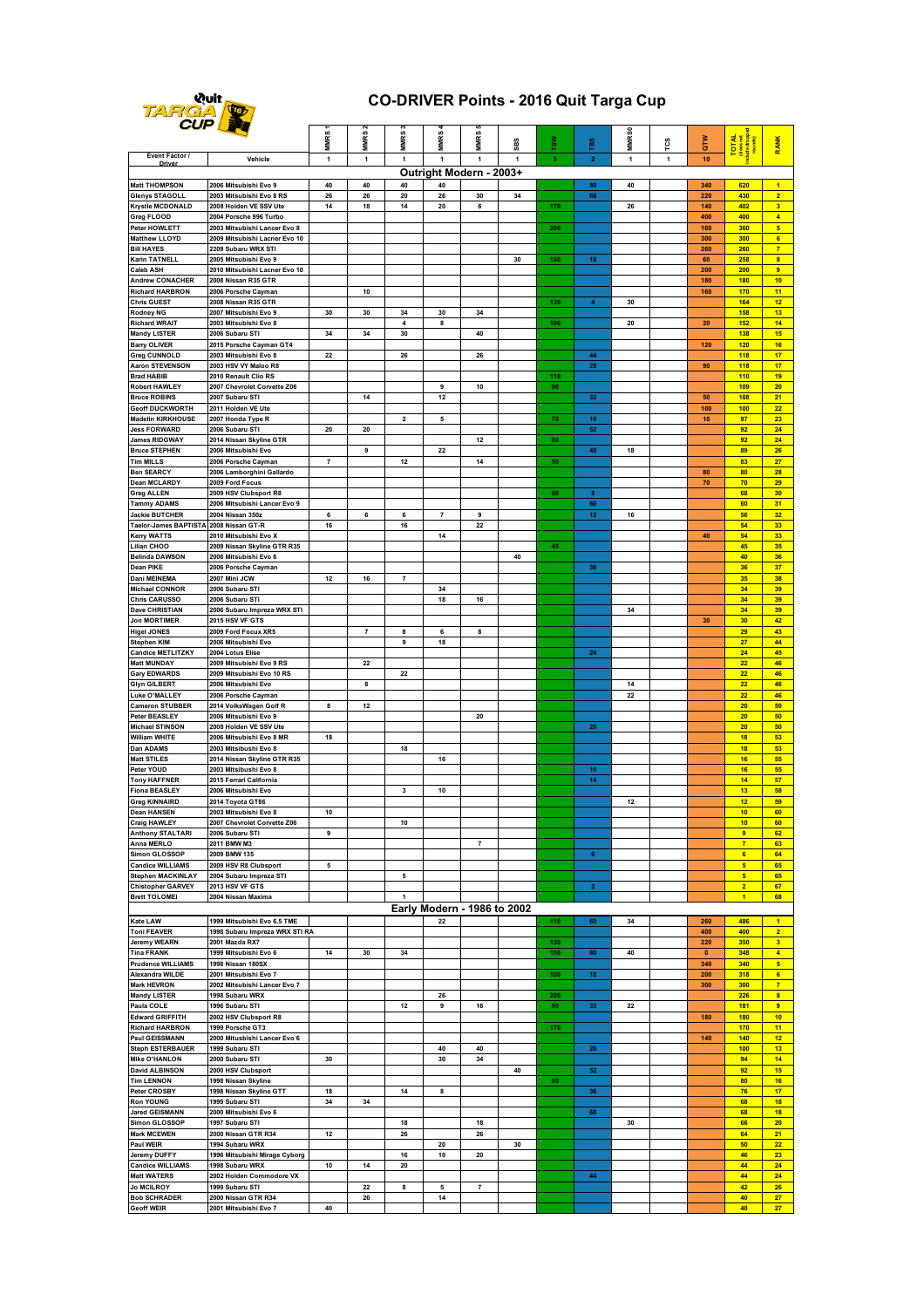

## **CO-DRIVER Points - 2016 Quit Targa Cup**

|                                                      | UP LEA                                                        | <b>MMRS</b>    | MMRS           | <b>MMRS</b>          | <b>MMRS</b>                 | <b>MMRS</b>              | SBS          | ₹,  | res               | MMR <sub>S0</sub> | rcs          | ğΤ         | TOTAL<br>doesnot                 | <b>RANK</b>                      |
|------------------------------------------------------|---------------------------------------------------------------|----------------|----------------|----------------------|-----------------------------|--------------------------|--------------|-----|-------------------|-------------------|--------------|------------|----------------------------------|----------------------------------|
| Event Factor /                                       | Vehicle                                                       | 1              | 1              | 1                    | $\mathbf{1}$                | $\overline{1}$           | $\mathbf{1}$ | 5   | $\mathbf{2}$      | $\mathbf{1}$      | $\mathbf{1}$ | 10         |                                  |                                  |
| Outright Modern - 2003+                              |                                                               |                |                |                      |                             |                          |              |     |                   |                   |              |            |                                  |                                  |
| <b>Matt THOMPSON</b><br><b>Glenys STAGOLL</b>        | 2006 Mitsubishi Evo 9<br>2003 Mitsubishi Evo 8 RS             | 40<br>26       | 40<br>26       | 40<br>20             | 40<br>26                    | 30                       | 34           |     | 80<br>68          | 40                |              | 340<br>220 | 620<br>430                       | $\overline{1}$<br>$\overline{2}$ |
| <b>Krystle MCDONALD</b>                              | 2008 Holden VE SSV Ute                                        | 14             | 18             | 14                   | 20                          | 6                        |              | 170 |                   | 26                |              | 140        | 402                              | $\overline{\mathbf{3}}$          |
| Greg FLOOD                                           | 2004 Porsche 996 Turbo                                        |                |                |                      |                             |                          |              |     |                   |                   |              | 400        | 400                              | $\overline{4}$                   |
| Peter HOWLETT<br><b>Matthew LLOYD</b>                | 2003 Mitsubishi Lancer Evo 8<br>2009 Mitsubishi Lacner Evo 10 |                |                |                      |                             |                          |              | 200 |                   |                   |              | 160<br>300 | 360<br>300                       | 5 <sub>5</sub><br>$6\phantom{a}$ |
| <b>Bill HAYES</b>                                    | 2209 Subaru WRX STI                                           |                |                |                      |                             |                          |              |     |                   |                   |              | 260        | 260                              | $\overline{7}$                   |
| Karin TATNELL                                        | 2005 Mitsubishi Evo 9                                         |                |                |                      |                             |                          | 30           | 150 | 18                |                   |              | 60         | 258                              | $\overline{\mathbf{8}}$          |
| <b>Caleb ASH</b><br><b>Andrew CONACHER</b>           | 2010 Mitsubishi Lacner Evo 10<br>2008 Nissan R35 GTR          |                |                |                      |                             |                          |              |     |                   |                   |              | 200<br>180 | 200<br>180                       | $\overline{9}$<br>10             |
| <b>Richard HARBRON</b>                               | 2006 Porsche Cayman                                           |                | 10             |                      |                             |                          |              |     |                   |                   |              | 160        | 170                              | 11                               |
| <b>Chris GUEST</b>                                   | 2008 Nissan R35 GTR                                           |                |                |                      |                             |                          |              | 130 | $\boldsymbol{4}$  | 30                |              |            | 164                              | 12                               |
| Rodney NG<br><b>Richard WRAIT</b>                    | 2007 Mitsubishi Evo 9<br>2003 Mitsubishi Evo 8                | 30             | 30             | 34<br>$\overline{4}$ | 30<br>8                     | 34                       |              | 100 |                   | 20                |              | 20         | <b>158</b><br>152                | 13<br>14                         |
| <b>Mandy LISTER</b>                                  | 2006 Subaru STI                                               | 34             | 34             | 30                   |                             | 40                       |              |     |                   |                   |              |            | 138                              | 15                               |
| <b>Barry OLIVER</b>                                  | 2015 Porsche Cayman GT4                                       |                |                |                      |                             |                          |              |     |                   |                   |              | 120        | 120                              | 16                               |
| <b>Greg CUNNOLD</b><br>Aaron STEVENSON               | 2003 Mitsubishi Evo 8<br>2003 HSV VY Maloo R8                 | 22             |                | 26                   |                             | 26                       |              |     | 44<br>28          |                   |              | 90         | 118<br>118                       | 17<br>17                         |
| <b>Brad HABIB</b>                                    | 2010 Renault Clio RS                                          |                |                |                      |                             |                          |              | 110 |                   |                   |              |            | 110                              | 19                               |
| <b>Robert HAWLEY</b>                                 | 2007 Chevrolet Corvette Z06                                   |                |                |                      | 9                           | 10                       |              | 90  |                   |                   |              |            | 109                              | 20                               |
| <b>Bruce ROBINS</b><br><b>Geoff DUCKWORTH</b>        | 2007 Subaru STI<br>2011 Holden VE Ute                         |                | 14             |                      | 12                          |                          |              |     | 32                |                   |              | 50<br>100  | 108<br>100                       | 21<br>22                         |
| <b>Madelin KIRKHOUSE</b>                             | 2007 Honda Type R                                             |                |                | 2                    | 5                           |                          |              | 70  | 10                |                   |              | 10         | 97                               | 23                               |
| <b>Jess FORWARD</b>                                  | 2006 Subaru STI                                               | 20             | 20             |                      |                             |                          |              |     | 52                |                   |              |            | 92<br>92                         | 24<br>24                         |
| <b>James RIDGWAY</b><br><b>Bruce STEPHEN</b>         | 2014 Nissan Skyline GTR<br>2006 Mitsubishi Evo                |                | 9              |                      | 22                          | 12                       |              | 80  | 40                | 18                |              |            | 89                               | 26                               |
| <b>Tim MILLS</b>                                     | 2006 Porsche Cayman                                           | $\overline{7}$ |                | 12                   |                             | 14                       |              | 50  |                   |                   |              |            | 83                               | 27                               |
| <b>Ben SEARCY</b>                                    | 2006 Lamborghini Gallardo                                     |                |                |                      |                             |                          |              |     |                   |                   |              | 80         | 80                               | 28                               |
| <b>Dean MCLARDY</b><br><b>Greg ALLEN</b>             | 2009 Ford Focus<br>2009 HSV Clubsport R8                      |                |                |                      |                             |                          |              | 60  | $\bf8$            |                   |              | 70         | 70<br>68                         | 29<br>30                         |
| <b>Tammy ADAMS</b>                                   | 2006 Mitsubishi Lancer Evo 9                                  |                |                |                      |                             |                          |              |     | 60                |                   |              |            | 60                               | 31                               |
| <b>Jackie BUTCHER</b>                                | 2004 Nissan 350z                                              | 6              | 6              | 6                    | $\overline{7}$              | 9                        |              |     | $12 \overline{ }$ | 16                |              |            | 56                               | 32                               |
| Taelor-James BAPTISTA<br><b>Kerry WATTS</b>          | 2008 Nissan GT-R<br>2010 Mitsubishi Evo X                     | 16             |                | 16                   | 14                          | 22                       |              |     |                   |                   |              | 40         | 54<br>54                         | 33<br>33                         |
| Lilian CHOO                                          | 2009 Nissan Skyline GTR R35                                   |                |                |                      |                             |                          |              | 45  |                   |                   |              |            | 45                               | 35                               |
| <b>Belinda DAWSON</b>                                | 2006 Mitsubishi Evo 6                                         |                |                |                      |                             |                          | 40           |     |                   |                   |              |            | 40                               | 36                               |
| Dean PIKE<br>Dani MEINEMA                            | 2006 Porsche Cayman<br>2007 Mini JCW                          | 12             | 16             | $\overline{7}$       |                             |                          |              |     | 36                |                   |              |            | 36<br>35                         | 37<br>38                         |
| <b>Michael CONNOR</b>                                | 2006 Subaru STI                                               |                |                |                      | 34                          |                          |              |     |                   |                   |              |            | 34                               | 39                               |
| <b>Chris CARUSSO</b>                                 | 2006 Subaru STI                                               |                |                |                      | 18                          | 16                       |              |     |                   |                   |              |            | 34                               | 39                               |
| Dave CHRISTIAN<br><b>Jon MORTIMER</b>                | 2006 Subaru Impreza WRX STI<br>2015 HSV VF GTS                |                |                |                      |                             |                          |              |     |                   | 34                |              | 30         | 34<br>30                         | 39<br>42                         |
| <b>Higel JONES</b>                                   | 2009 Ford Focux XR5                                           |                | $\overline{7}$ | 8                    | 6                           | 8                        |              |     |                   |                   |              |            | 29                               | 43                               |
| <b>Stephen KIM</b>                                   | 2006 Mitsubishi Evo                                           |                |                | 9                    | 18                          |                          |              |     |                   |                   |              |            | 27                               | 44                               |
| <b>Candice METLITZKY</b><br><b>Matt MUNDAY</b>       | 2004 Lotus Elise<br>2009 Mitsubishi Evo 9 RS                  |                | 22             |                      |                             |                          |              |     | 24                |                   |              |            | 24<br>22                         | 45<br>46                         |
| <b>Gary EDWARDS</b>                                  | 2009 Mitsubishi Evo 10 RS                                     |                |                | 22                   |                             |                          |              |     |                   |                   |              |            | $\overline{22}$                  | 46                               |
| <b>Glyn GILBERT</b>                                  | 2006 Mitsubishi Evo                                           |                | 8              |                      |                             |                          |              |     |                   | 14                |              |            | 22                               | 46                               |
| Luke O'MALLEY<br><b>Cameron STUBBER</b>              | 2006 Porsche Cayman<br>2014 VolksWagen Golf R                 | 8              | 12             |                      |                             |                          |              |     |                   | 22                |              |            | 22<br>20                         | 46<br>50                         |
| <b>Peter BEASLEY</b>                                 | 2006 Mitsubishi Evo 9                                         |                |                |                      |                             | 20                       |              |     |                   |                   |              |            | 20                               | 50                               |
| <b>Michael STINSON</b>                               | 2008 Holden VE SSV Ute                                        |                |                |                      |                             |                          |              |     | 20                |                   |              |            | 20                               | 50                               |
| <b>William WHITE</b>                                 | 2006 Mitsubishi Evo 8 MR                                      | 18             |                |                      |                             |                          |              |     |                   |                   |              |            | 18                               | 53                               |
| Dan ADAMS<br><b>Matt STILES</b>                      | 2003 Mitsibushi Evo 8<br>2014 Nissan Skyline GTR R35          |                |                | 18                   | 16                          |                          |              |     |                   |                   |              |            | 18<br>16                         | 53<br>55                         |
| Peter YOUD                                           | 2003 Mitsibushi Evo 8                                         |                |                |                      |                             |                          |              |     | 16                |                   |              |            | 16                               | 55                               |
| <b>Tony HAFFNER</b><br><b>Fiona BEASLEY</b>          | 2015 Ferrari California                                       |                |                | 3                    |                             |                          |              |     | 14                |                   |              |            | 14<br>13                         | 57<br>58                         |
| <b>Greg KINNAIRD</b>                                 | 2006 Mitsubishi Evo<br>2014 Toyota GT86                       |                |                |                      | 10                          |                          |              |     |                   | 12                |              |            | 12                               | 59                               |
| <b>Dean HANSEN</b>                                   | 2003 Mitsubishi Evo 8                                         | 10             |                |                      |                             |                          |              |     |                   |                   |              |            | 10                               | 60                               |
| raig HAWLE                                           | <b>CURATO</b><br>2006 Subaru STI                              |                |                |                      |                             |                          |              |     |                   |                   |              |            | 10                               | <b>RO</b>                        |
| <b>Anthony STALTARI</b><br>Anna MERLO                | 2011 BMW M3                                                   | 9              |                |                      |                             | $\overline{7}$           |              |     |                   |                   |              |            | 9<br>$\overline{7}$              | 62<br>63                         |
| Simon GLOSSOP                                        | 2009 BMW 135                                                  |                |                |                      |                             |                          |              |     | $6\phantom{a}$    |                   |              |            | $6\phantom{a}$                   | 64                               |
| <b>Candice WILLIAMS</b>                              | 2009 HSV R8 Clubsport                                         | 5              |                |                      |                             |                          |              |     |                   |                   |              |            | $\overline{\mathbf{5}}$          | 65                               |
| <b>Stephen MACKINLAY</b><br><b>Chistopher GARVEY</b> | 2004 Subaru Impreza STI<br>2013 HSV VF GTS                    |                |                | 5                    |                             |                          |              |     | $\overline{2}$    |                   |              |            | 5 <sub>5</sub><br>$\overline{2}$ | 65<br>67                         |
| <b>Brett TOLOMEI</b>                                 | 2004 Nissan Maxima                                            |                |                | $\overline{1}$       |                             |                          |              |     |                   |                   |              |            | $\overline{1}$                   | 68                               |
|                                                      |                                                               |                |                |                      | Early Modern - 1986 to 2002 |                          |              |     |                   |                   |              |            |                                  |                                  |
| Kate LAW                                             | 1999 Mitsubishi Evo 6.5 TME                                   |                |                |                      | 22                          |                          |              | 110 | 60                | 34                |              | 260        | 486                              | $\overline{1}$                   |
| <b>Toni FEAVER</b><br><b>Jeremy WEARN</b>            | 1998 Subaru Impreza WRX STI RA<br>2001 Mazda RX7              |                |                |                      |                             |                          |              | 130 |                   |                   |              | 400<br>220 | 400<br>350                       | $\overline{2}$<br>3 <sup>2</sup> |
| <b>Tina FRANK</b>                                    | 1999 Mitsubishi Evo 6                                         | 14             | 30             | 34                   |                             |                          |              | 150 | 80                | 40                |              | $\pmb{0}$  | 348                              | $\overline{4}$                   |
| <b>Prudence WILLIAMS</b>                             | 1998 Nissan 180SX                                             |                |                |                      |                             |                          |              |     |                   |                   |              | 340        | 340                              | 5 <sub>5</sub>                   |
| Alexandra WILDE<br><b>Mark HEVRON</b>                | 2001 Mitsubishi Evo 7<br>2002 Mitsubishi Lancer Evo 7         |                |                |                      |                             |                          |              | 100 | 18                |                   |              | 200<br>300 | 318<br>300                       | 6 <sup>2</sup><br>$\overline{7}$ |
| <b>Mandy LISTER</b>                                  | 1998 Subaru WRX                                               |                |                |                      | 26                          |                          |              | 200 |                   |                   |              |            | 226                              | $\overline{\mathbf{8}}$          |
| Paula COLE                                           | 1996 Subaru STI                                               |                |                | 12                   | 9                           | 16                       |              | 90  | 32                | 22                |              |            | 181                              | $\overline{9}$                   |
| <b>Edward GRIFFITH</b><br><b>Richard HARBRON</b>     | 2002 HSV Clubsport R8<br>1999 Porsche GT3                     |                |                |                      |                             |                          |              | 170 |                   |                   |              | 180        | 180<br>170                       | 10<br>11                         |
| <b>Psul GEISSMANN</b>                                | 2000 Mitusbishi Lancer Evo 6                                  |                |                |                      |                             |                          |              |     |                   |                   |              | 140        | 140                              | 12                               |
| <b>Steph ESTERBAUER</b>                              | 1999 Subaru STI                                               |                |                |                      | 40                          | 40                       |              |     | ${\bf 20}$        |                   |              |            | 100                              | 13                               |
| <b>Mike O'HANLON</b><br><b>David ALBINSON</b>        | 2000 Subaru STI<br>2000 HSV Clubsport                         | 30             |                |                      | 30                          | 34                       | 40           |     | 52                |                   |              |            | 94<br>92                         | 14<br>15                         |
| <b>Tim LENNON</b>                                    | 1998 Nissan Skyline                                           |                |                |                      |                             |                          |              | 80  |                   |                   |              |            | 80                               | 16                               |
| Peter CROSBY                                         | 1998 Nissan Skyline GTT                                       | 18             |                | 14                   | 8                           |                          |              |     | 36                |                   |              |            | 76                               | 17                               |
| <b>Ron YOUNG</b><br><b>Jared GEISMANN</b>            | 1999 Subaru STI<br>2000 Mitsubishi Evo 6                      | 34             | 34             |                      |                             |                          |              |     | 68                |                   |              |            | 68<br>68                         | 18<br>18                         |
| <b>Simon GLOSSOP</b>                                 | 1997 Subaru STI                                               |                |                | 18                   |                             | 18                       |              |     |                   | 30                |              |            | 66                               | 20                               |
| <b>Mark MCEWEN</b>                                   | 2000 Nissan GTR R34                                           | 12             |                | 26                   |                             | 26                       |              |     |                   |                   |              |            | 64                               | 21                               |
| <b>Paul WEIR</b>                                     | 1994 Subaru WRX                                               |                |                |                      | 20                          |                          | 30           |     |                   |                   |              |            | 50<br>46                         | 22                               |
| Jeremy DUFFY<br><b>Candice WILLIAMS</b>              | 1996 Mitsubishi Mirage Cyborg<br>1998 Subaru WRX              | $10\,$         | 14             | 16<br>20             | 10                          | 20                       |              |     |                   |                   |              |            | 44                               | 23<br>24                         |
| <b>Matt WATERS</b>                                   | 2002 Holden Commodore VX                                      |                |                |                      |                             |                          |              |     | 44                |                   |              |            | 44                               | 24                               |
| <b>Jo MCILROY</b><br><b>Bob SCHRADER</b>             | 1999 Subaru STI<br>2000 Nissan GTR R34                        |                | 22<br>26       | 8                    | 5                           | $\overline{\phantom{a}}$ |              |     |                   |                   |              |            | 42<br>40                         | 26<br>27                         |
| <b>Geoff WEIR</b>                                    | 2001 Mitsubishi Evo 7                                         | 40             |                |                      | 14                          |                          |              |     |                   |                   |              |            | 40                               | 27                               |